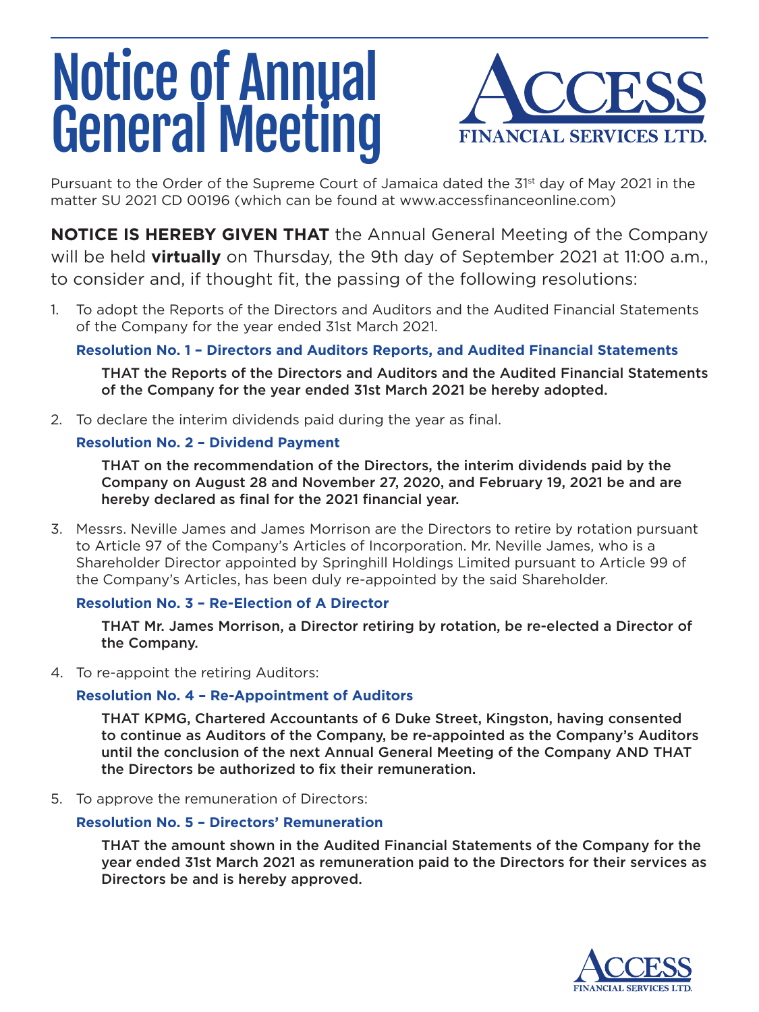# Notice of Annual General Meeting



Pursuant to the Order of the Supreme Court of Jamaica dated the 31<sup>st</sup> day of May 2021 in the matter SU 2021 CD 00196 (which can be found at www.accessfinanceonline.com)

**NOTICE IS HEREBY GIVEN THAT** the Annual General Meeting of the Company will be held **virtually** on Thursday, the 9th day of September 2021 at 11:00 a.m., to consider and, if thought fit, the passing of the following resolutions:

1. To adopt the Reports of the Directors and Auditors and the Audited Financial Statements of the Company for the year ended 31st March 2021.

# **Resolution No. 1 – Directors and Auditors Reports, and Audited Financial Statements**

THAT the Reports of the Directors and Auditors and the Audited Financial Statements of the Company for the year ended 31st March 2021 be hereby adopted.

2. To declare the interim dividends paid during the year as final.

## **Resolution No. 2 – Dividend Payment**

THAT on the recommendation of the Directors, the interim dividends paid by the Company on August 28 and November 27, 2020, and February 19, 2021 be and are hereby declared as final for the 2021 financial year.

3. Messrs. Neville James and James Morrison are the Directors to retire by rotation pursuant to Article 97 of the Company's Articles of Incorporation. Mr. Neville James, who is a Shareholder Director appointed by Springhill Holdings Limited pursuant to Article 99 of the Company's Articles, has been duly re-appointed by the said Shareholder.

# **Resolution No. 3 – Re-Election of A Director**

THAT Mr. James Morrison, a Director retiring by rotation, be re-elected a Director of the Company.

4. To re-appoint the retiring Auditors:

# **Resolution No. 4 – Re-Appointment of Auditors**

THAT KPMG, Chartered Accountants of 6 Duke Street, Kingston, having consented to continue as Auditors of the Company, be re-appointed as the Company's Auditors until the conclusion of the next Annual General Meeting of the Company AND THAT the Directors be authorized to fix their remuneration.

5. To approve the remuneration of Directors:

### **Resolution No. 5 – Directors' Remuneration**

THAT the amount shown in the Audited Financial Statements of the Company for the year ended 31st March 2021 as remuneration paid to the Directors for their services as Directors be and is hereby approved.

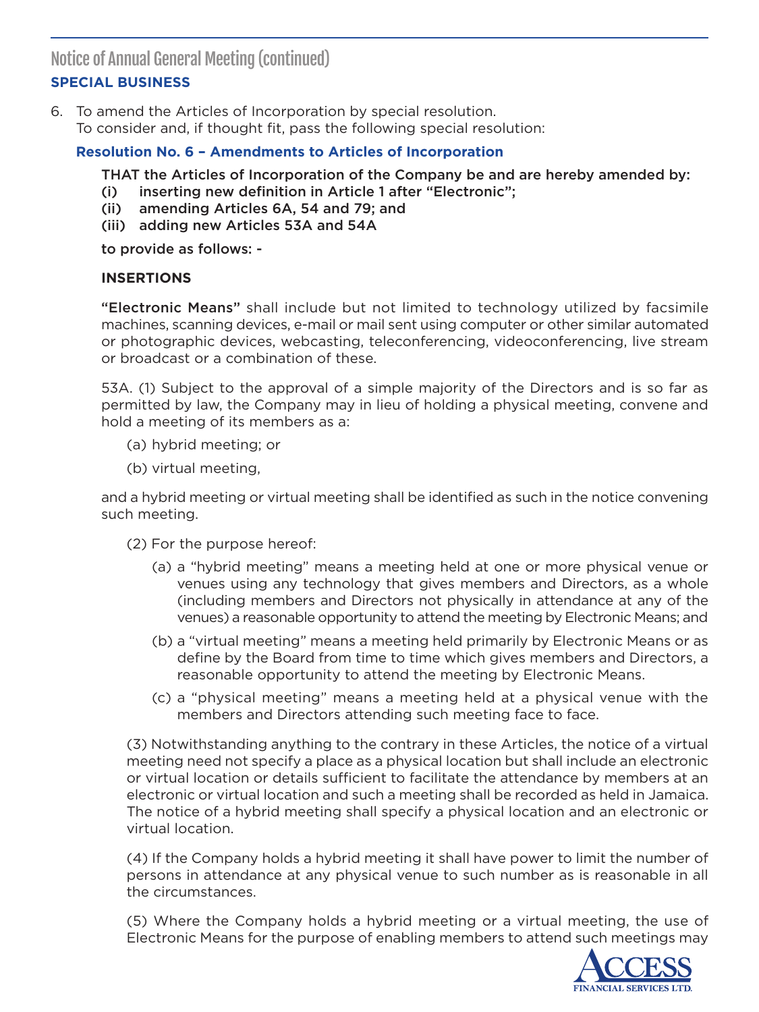Notice of Annual General Meeting (continued)

# **SPECIAL BUSINESS**

6. To amend the Articles of Incorporation by special resolution. To consider and, if thought fit, pass the following special resolution:

## **Resolution No. 6 – Amendments to Articles of Incorporation**

THAT the Articles of Incorporation of the Company be and are hereby amended by:

- (i) inserting new definition in Article 1 after "Electronic";
- (ii) amending Articles 6A, 54 and 79; and
- (iii) adding new Articles 53A and 54A

to provide as follows: -

#### **INSERTIONS**

"Electronic Means" shall include but not limited to technology utilized by facsimile machines, scanning devices, e-mail or mail sent using computer or other similar automated or photographic devices, webcasting, teleconferencing, videoconferencing, live stream or broadcast or a combination of these.

53A. (1) Subject to the approval of a simple majority of the Directors and is so far as permitted by law, the Company may in lieu of holding a physical meeting, convene and hold a meeting of its members as a:

- (a) hybrid meeting; or
- (b) virtual meeting,

and a hybrid meeting or virtual meeting shall be identified as such in the notice convening such meeting.

- (2) For the purpose hereof:
	- (a) a "hybrid meeting" means a meeting held at one or more physical venue or venues using any technology that gives members and Directors, as a whole (including members and Directors not physically in attendance at any of the venues) a reasonable opportunity to attend the meeting by Electronic Means; and
	- (b) a "virtual meeting" means a meeting held primarily by Electronic Means or as define by the Board from time to time which gives members and Directors, a reasonable opportunity to attend the meeting by Electronic Means.
	- (c) a "physical meeting" means a meeting held at a physical venue with the members and Directors attending such meeting face to face.

(3) Notwithstanding anything to the contrary in these Articles, the notice of a virtual meeting need not specify a place as a physical location but shall include an electronic or virtual location or details sufficient to facilitate the attendance by members at an electronic or virtual location and such a meeting shall be recorded as held in Jamaica. The notice of a hybrid meeting shall specify a physical location and an electronic or virtual location.

(4) If the Company holds a hybrid meeting it shall have power to limit the number of persons in attendance at any physical venue to such number as is reasonable in all the circumstances.

(5) Where the Company holds a hybrid meeting or a virtual meeting, the use of Electronic Means for the purpose of enabling members to attend such meetings may

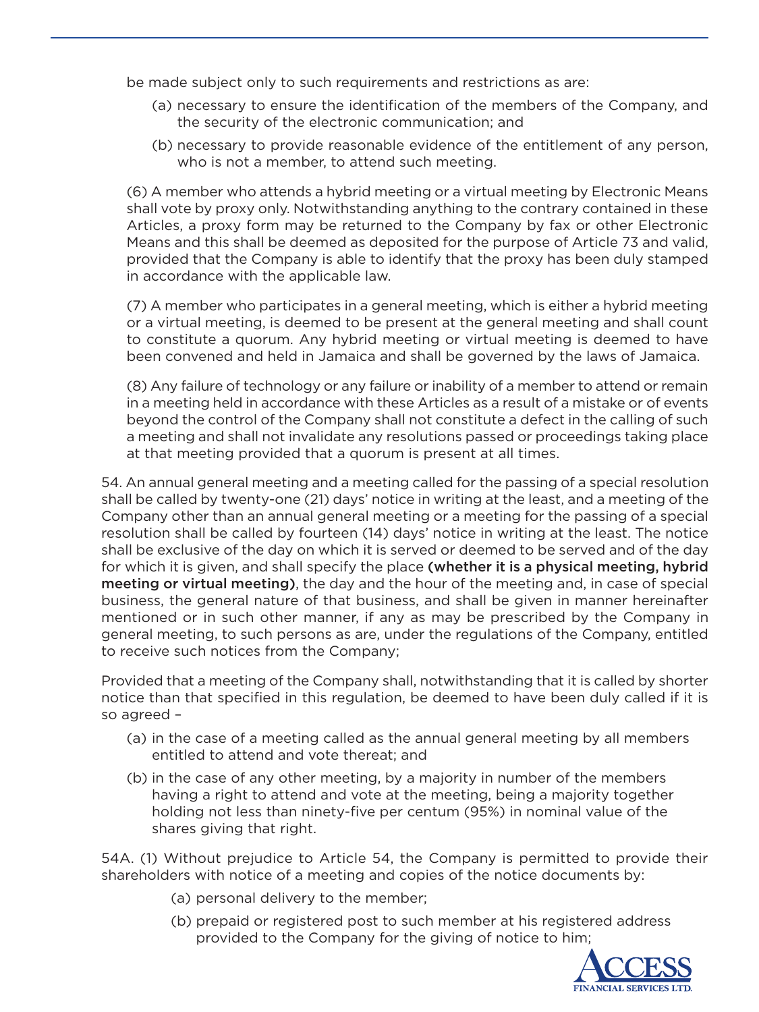be made subject only to such requirements and restrictions as are:

- (a) necessary to ensure the identification of the members of the Company, and the security of the electronic communication; and
- (b) necessary to provide reasonable evidence of the entitlement of any person, who is not a member, to attend such meeting.

(6) A member who attends a hybrid meeting or a virtual meeting by Electronic Means shall vote by proxy only. Notwithstanding anything to the contrary contained in these Articles, a proxy form may be returned to the Company by fax or other Electronic Means and this shall be deemed as deposited for the purpose of Article 73 and valid, provided that the Company is able to identify that the proxy has been duly stamped in accordance with the applicable law.

(7) A member who participates in a general meeting, which is either a hybrid meeting or a virtual meeting, is deemed to be present at the general meeting and shall count to constitute a quorum. Any hybrid meeting or virtual meeting is deemed to have been convened and held in Jamaica and shall be governed by the laws of Jamaica.

(8) Any failure of technology or any failure or inability of a member to attend or remain in a meeting held in accordance with these Articles as a result of a mistake or of events beyond the control of the Company shall not constitute a defect in the calling of such a meeting and shall not invalidate any resolutions passed or proceedings taking place at that meeting provided that a quorum is present at all times.

54. An annual general meeting and a meeting called for the passing of a special resolution shall be called by twenty-one (21) days' notice in writing at the least, and a meeting of the Company other than an annual general meeting or a meeting for the passing of a special resolution shall be called by fourteen (14) days' notice in writing at the least. The notice shall be exclusive of the day on which it is served or deemed to be served and of the day for which it is given, and shall specify the place (whether it is a physical meeting, hybrid meeting or virtual meeting), the day and the hour of the meeting and, in case of special business, the general nature of that business, and shall be given in manner hereinafter mentioned or in such other manner, if any as may be prescribed by the Company in general meeting, to such persons as are, under the regulations of the Company, entitled to receive such notices from the Company;

Provided that a meeting of the Company shall, notwithstanding that it is called by shorter notice than that specified in this regulation, be deemed to have been duly called if it is so agreed –

- (a) in the case of a meeting called as the annual general meeting by all members entitled to attend and vote thereat; and
- (b) in the case of any other meeting, by a majority in number of the members having a right to attend and vote at the meeting, being a majority together holding not less than ninety-five per centum (95%) in nominal value of the shares giving that right.

54A. (1) Without prejudice to Article 54, the Company is permitted to provide their shareholders with notice of a meeting and copies of the notice documents by:

- (a) personal delivery to the member;
- (b) prepaid or registered post to such member at his registered address provided to the Company for the giving of notice to him;